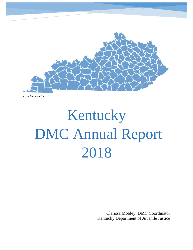

Vector Stock Images

# Kentucky DMC Annual Report 2018

Clarissa Mobley, DMC Coordinator Kentucky Department of Juvenile Justice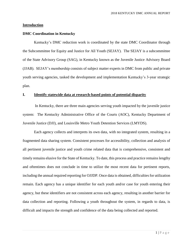#### **Introduction**

## **DMC Coordination in Kentucky**

 Kentucky's DMC reduction work is coordinated by the state DMC Coordinator through the Subcommittee for Equity and Justice for All Youth (SEJAY). The SEJAY is a subcommittee of the State Advisory Group (SAG), in Kentucky known as the Juvenile Justice Advisory Board (JJAB). SEJAY's membership consists of subject matter experts in DMC from public and private youth serving agencies, tasked the development and implementation Kentucky's 3-year strategic plan.

# **I. Identify statewide data at research-based points of potential disparity**

 In Kentucky, there are three main agencies serving youth impacted by the juvenile justice system: The Kentucky Administrative Office of the Courts (AOC), Kentucky Department of Juvenile Justice (DJJ), and Louisville Metro Youth Detention Services (LMYDS).

 Each agency collects and interprets its own data, with no integrated system, resulting in a timely remains elusive for the State of Kentucky. To date, this process and practice remains lengthy and oftentimes does not conclude in time to utilize the most recent data for pertinent reports, including the annual required reporting for OJJDP. Once data is obtained, difficulties for utilization remain. Each agency has a unique identifier for each youth and/or case for youth entering their data collection and reporting. Following a youth throughout the system, in regards to data, is fragmented data sharing system. Consistent processes for accessibility, collection and analysis of all pertinent juvenile justice and youth crime related data that is comprehensive, consistent and agency, but these identifiers are not consistent across each agency, resulting in another barrier for difficult and impacts the strength and confidence of the data being collected and reported.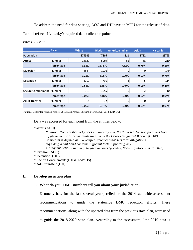To address the need for data sharing, AOC and DJJ have an MOU for the release of data. Table 1 reflects Kentucky's required data collection points.

# *Table 1: FY 2016*

|                           | Race:      | <b>White</b> | <b>Black</b>    | <b>American Indian</b> | <b>Asian</b> | <b>Hispanic</b> |
|---------------------------|------------|--------------|-----------------|------------------------|--------------|-----------------|
| Population                |            | 374546       | 47866           | 811                    | 8732         | 23795           |
| Arrest                    | Number     | 14320        | 5959            | 61                     | 68           | 210             |
|                           | Percentage | 3.82%        | 12.45%          | 7.52%                  | 0.78%        | 0.88%           |
| Diversion                 | Number     | 4544         | 1076            | 0                      | 0            | 179             |
|                           | Percentage | 1.21%        | 2.25%           | 0.00%                  | 0.00%        | 0.75%           |
| Detention                 | Number     | 2110         | 791             |                        |              | 114             |
|                           | Percentage | 0.56%        | 1.65%           | 0.49%                  | 0.06%        | 0.48%           |
| Secure Confinement Number |            | 313          | 1045            | 0                      |              | 10              |
|                           | Percentage | 0.08%        | 2.18%           | 0.00%                  | 0.02%        | 0.04%           |
| <b>Adult Transfer</b>     | Number     | 14           | 32 <sup>2</sup> | 0                      | 0            | 0               |
|                           | Percentage | 0.00%        | 0.07%           | 0.00%                  | 0.00%        | 0.00%           |

(National Center for Juvenile Justice, 2016; DJJ; Perdue, Shepard, Morris, et.al, 2018; LMYDS)

#### Data was accessed for each point from the entities below:

#### \*Arrest (AOC).

 *Notation: Because Kentucky does not arrest youth, the "arrest" decision point has been supplemented with "complaints filed" with the Court Designated Worker (CDW). Complaint is defined as: "a verified statement that sets forth allegations regarding a child and contains sufficient facts supporting any subsequent petition that may be filed in court"(Perdue, Shepard, Morris, et.al, 2018).*

- \* Division (AOC)
- \* Detention: (DJJ)
- \* Secure Confinement: (DJJ & LMYDS)
- \* Adult transfer: (DJJ)

# **II. Develop an action plan**

# **1. What do your DMC numbers tell you about your jurisdiction?**

 Kentucky has, for the last several years, relied on the 2014 statewide assessment recommendations, along with the updated data from the previous state plan, were used to guide the 2018-2020 state plan. According to the assessment, "the 2010 data is recommendations to guide the statewide DMC reduction efforts. These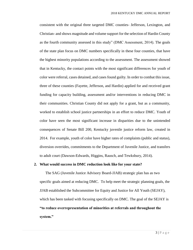Christian- and shows magnitude and volume support for the selection of Hardin County color were referral, cases detained, and cases found guilty. In order to combat this issue, three of these counties (Fayette, Jefferson, and Hardin) applied for and received grant funding for capacity building, assessment and/or interventions in reducing DMC in their communities. Christian County did not apply for a grant, but as a community, color have seen the most significant increase in disparities due to the unintended consequences of Senate Bill 200, Kentucky juvenile justice reform law, created in consistent with the original three targeted DMC counties- Jefferson, Lexington, and as the fourth community assessed in this study" (DMC Assessment, 2014). The goals of the state plan focus on DMC numbers specifically in these four counties, that have the highest minority populations according to the assessment. The assessment showed that in Kentucky, the contact points with the most significant differences for youth of worked to establish school justice partnerships in an effort to reduce DMC. Youth of 2014. For example, youth of color have higher rates of complaints (public and status), diversion overrides, commitments to the Department of Juvenile Justice, and transfers to adult court (Dawson-Edwards, Higgins, Rausch, and Tewksbury, 2014).

# **2. What would success in DMC reduction look like for your state?**

The SAG (Juvenile Justice Advisory Board-JJAB) strategic plan has as two specific goals aimed at reducing DMC. To help meet the strategic planning goals, the JJAB established the Subcommittee for Equity and Justice for All Youth (SEJAY), which has been tasked with focusing specifically on DMC. The goal of the SEJAY is **"to reduce overrepresentation of minorities at referrals and throughout the system."**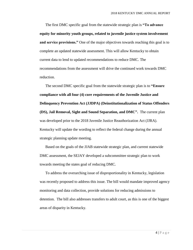The first DMC specific goal from the statewide strategic plan is **"To advance equity for minority youth groups, related to juvenile justice system involvement and service provisions."** One of the major objectives towards reaching this goal is to complete an updated statewide assessment. This will allow Kentucky to obtain current data to lend to updated recommendations to reduce DMC. The recommendations from the assessment will drive the continued work towards DMC reduction.

The second DMC specific goal from the statewide strategic plan is to **"Ensure compliance with all four (4) core requirements of the Juvenile Justice and Delinquency Prevention Act (JJDPA) (Deinstitutionalization of Status Offenders (DS), Jail Removal, Sight and Sound Separation, and DMC".** The current plan was developed prior to the 2018 Juvenile Justice Reauthorization Act (JJRA). Kentucky will update the wording to reflect the federal change during the annual strategic planning update meeting.

Based on the goals of the JJAB statewide strategic plan, and current statewide DMC assessment, the SEJAY developed a subcommittee strategic plan to work towards meeting the states goal of reducing DMC.

To address the overarching issue of disproportionality in Kentucky, legislation was recently proposed to address this issue. The bill would mandate improved agency monitoring and data collection, provide solutions for reducing admissions to detention. The bill also addresses transfers to adult court, as this is one of the biggest areas of disparity in Kentucky.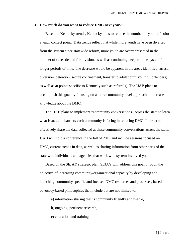### **3. How much do you want to reduce DMC next year?**

Based on Kentucky trends, Kentucky aims to reduce the number of youth of color at each contact point. Data trends reflect that while more youth have been diverted from the system since statewide reform, more youth are overrepresented in the number of cases denied for division, as well as continuing deeper in the system for longer periods of time. The decrease would be apparent in the areas identified: arrest, diversion, detention, secure confinement, transfer to adult court (youthful offenders; as well as at points specific to Kentucky such as referrals). The JJAB plans to accomplish this goal by focusing on a more community level approach to increase knowledge about the DMC.

The JJAB plans to implement "community conversations" across the state to learn what issues and barriers each community is facing in reducing DMC. In order to effectively share the data collected at these community conversations across the state, JJAB will hold a conference in the fall of 2019 and include sessions focused on DMC, current trends in data, as well as sharing information from other parts of the state with individuals and agencies that work with system involved youth.

Based on the SEJAY strategic plan, SEJAY will address this goal through the objective of increasing community/organizational capacity by developing and launching community specific and focused DMC resources and processes, based on advocacy-based philosophies that include but are not limited to;

a) information sharing that is community friendly and usable,

b) ongoing, pertinent research,

c) education and training,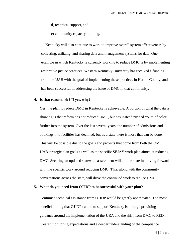d) technical support, and

e) community capacity building.

Kentucky will also continue to work to improve overall system effectiveness by collecting, utilizing, and sharing data and management systems for data. One example in which Kentucky is currently working to reduce DMC is by implementing restorative justice practices. Western Kentucky University has received a funding from the JJAB with the goal of implementing these practices in Hardin County, and has been successful in addressing the issue of DMC in that community.

#### **4. Is that reasonable? If yes, why?**

Yes, the plan to reduce DMC in Kentucky is achievable. A portion of what the data is showing is that reform has not reduced DMC, but has instead pushed youth of color further into the system. Over the last several years, the number of admissions and bookings into facilities has declined, but as a state there is more that can be done. This will be possible due to the goals and projects that come from both the DMC JJAB strategic plan goals as well as the specific SEJAY work plan aimed at reducing DMC. Securing an updated statewide assessment will aid the state in moving forward with the specific work around reducing DMC. This, along with the community conversations across the state, will drive the continued work to reduce DMC.

#### **5. What do you need from OJJDP to be successful with your plan?**

Continued technical assistance from OJJDP would be greatly appreciated. The most beneficial thing that OJJDP can do to support Kentucky is through providing guidance around the implementation of the JJRA and the shift from DMC to RED. Clearer monitoring expectations and a deeper understanding of the compliance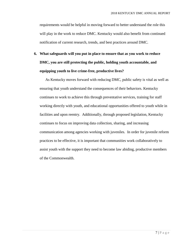requirements would be helpful in moving forward to better understand the role this will play in the work to reduce DMC. Kentucky would also benefit from continued notification of current research, trends, and best practices around DMC.

# **6. What safeguards will you put in place to ensure that as you work to reduce DMC, you are still protecting the public, holding youth accountable, and equipping youth to live crime-free, productive lives?**

 facilities and upon reentry. Additionally, through proposed legislation, Kentucky As Kentucky moves forward with reducing DMC, public safety is vital as well as ensuring that youth understand the consequences of their behaviors. Kentucky continues to work to achieve this through preventative services, training for staff working directly with youth, and educational opportunities offered to youth while in continues to focus on improving data collection, sharing, and increasing communication among agencies working with juveniles. In order for juvenile reform practices to be effective, it is important that communities work collaboratively to assist youth with the support they need to become law abiding, productive members of the Commonwealth.